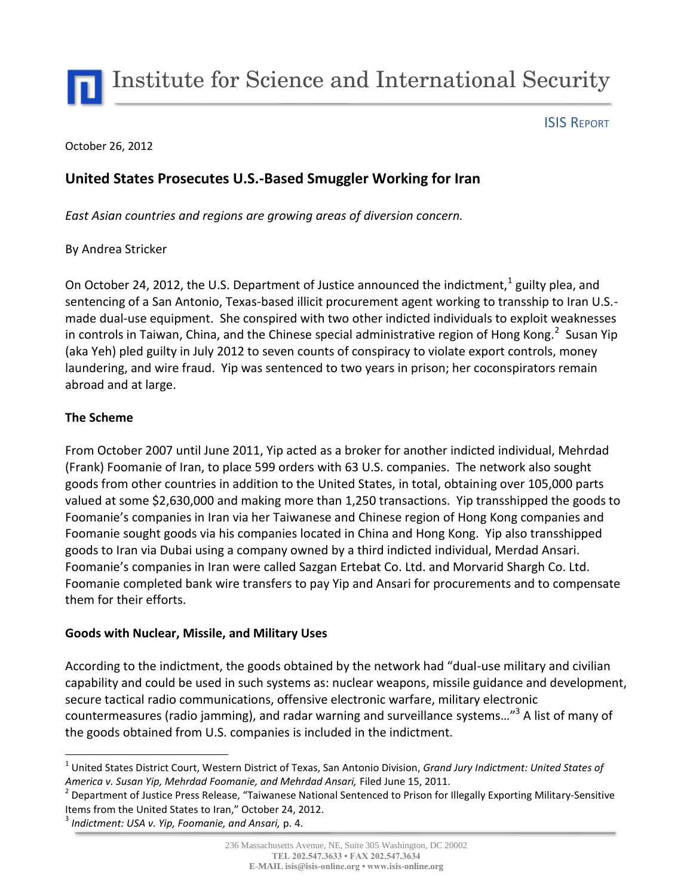Institute for Science and International Security

#### ISIS REPORT

#### October 26, 2012

# **United States Prosecutes U.S.-Based Smuggler Working for Iran**

*East Asian countries and regions are growing areas of diversion concern.*

## By Andrea Stricker

On October 24, 2012, the U.S. Department of Justice announced the indictment,  $^{1}$  guilty plea, and sentencing of a San Antonio, Texas-based illicit procurement agent working to transship to Iran U.S. made dual-use equipment. She conspired with two other indicted individuals to exploit weaknesses in controls in Taiwan, China, and the Chinese special administrative region of Hong Kong.<sup>2</sup> Susan Yip (aka Yeh) pled guilty in July 2012 to seven counts of conspiracy to violate export controls, money laundering, and wire fraud. Yip was sentenced to two years in prison; her coconspirators remain abroad and at large.

## **The Scheme**

From October 2007 until June 2011, Yip acted as a broker for another indicted individual, Mehrdad (Frank) Foomanie of Iran, to place 599 orders with 63 U.S. companies. The network also sought goods from other countries in addition to the United States, in total, obtaining over 105,000 parts valued at some \$2,630,000 and making more than 1,250 transactions. Yip transshipped the goods to Foomanie's companies in Iran via her Taiwanese and Chinese region of Hong Kong companies and Foomanie sought goods via his companies located in China and Hong Kong. Yip also transshipped goods to Iran via Dubai using a company owned by a third indicted individual, Merdad Ansari. Foomanie's companies in Iran were called Sazgan Ertebat Co. Ltd. and Morvarid Shargh Co. Ltd. Foomanie completed bank wire transfers to pay Yip and Ansari for procurements and to compensate them for their efforts.

#### **Goods with Nuclear, Missile, and Military Uses**

According to the indictment, the goods obtained by the network had "dual-use military and civilian capability and could be used in such systems as: nuclear weapons, missile guidance and development, secure tactical radio communications, offensive electronic warfare, military electronic countermeasures (radio jamming), and radar warning and surveillance systems..."<sup>3</sup> A list of many of the goods obtained from U.S. companies is included in the indictment.

 $\overline{a}$ 1 United States District Court, Western District of Texas, San Antonio Division, *Grand Jury Indictment: United States of America v. Susan Yip, Mehrdad Foomanie, and Mehrdad Ansari,* Filed June 15, 2011.

<sup>&</sup>lt;sup>2</sup> Department of Justice Press Release, "Taiwanese National Sentenced to Prison for Illegally Exporting Military-Sensitive Items from the United States to Iran," October 24, 2012.

<sup>3</sup> *Indictment: USA v. Yip, Foomanie, and Ansari,* p. 4.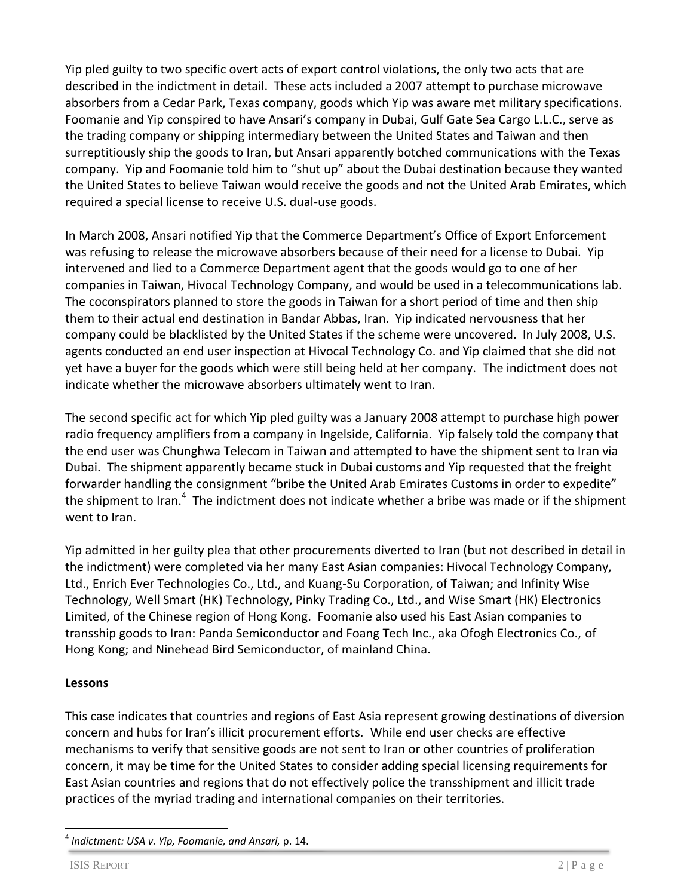Yip pled guilty to two specific overt acts of export control violations, the only two acts that are described in the indictment in detail. These acts included a 2007 attempt to purchase microwave absorbers from a Cedar Park, Texas company, goods which Yip was aware met military specifications. Foomanie and Yip conspired to have Ansari's company in Dubai, Gulf Gate Sea Cargo L.L.C., serve as the trading company or shipping intermediary between the United States and Taiwan and then surreptitiously ship the goods to Iran, but Ansari apparently botched communications with the Texas company. Yip and Foomanie told him to "shut up" about the Dubai destination because they wanted the United States to believe Taiwan would receive the goods and not the United Arab Emirates, which required a special license to receive U.S. dual-use goods.

In March 2008, Ansari notified Yip that the Commerce Department's Office of Export Enforcement was refusing to release the microwave absorbers because of their need for a license to Dubai. Yip intervened and lied to a Commerce Department agent that the goods would go to one of her companies in Taiwan, Hivocal Technology Company, and would be used in a telecommunications lab. The coconspirators planned to store the goods in Taiwan for a short period of time and then ship them to their actual end destination in Bandar Abbas, Iran. Yip indicated nervousness that her company could be blacklisted by the United States if the scheme were uncovered. In July 2008, U.S. agents conducted an end user inspection at Hivocal Technology Co. and Yip claimed that she did not yet have a buyer for the goods which were still being held at her company. The indictment does not indicate whether the microwave absorbers ultimately went to Iran.

The second specific act for which Yip pled guilty was a January 2008 attempt to purchase high power radio frequency amplifiers from a company in Ingelside, California. Yip falsely told the company that the end user was Chunghwa Telecom in Taiwan and attempted to have the shipment sent to Iran via Dubai. The shipment apparently became stuck in Dubai customs and Yip requested that the freight forwarder handling the consignment "bribe the United Arab Emirates Customs in order to expedite" the shipment to Iran.<sup>4</sup> The indictment does not indicate whether a bribe was made or if the shipment went to Iran.

Yip admitted in her guilty plea that other procurements diverted to Iran (but not described in detail in the indictment) were completed via her many East Asian companies: Hivocal Technology Company, Ltd., Enrich Ever Technologies Co., Ltd., and Kuang-Su Corporation, of Taiwan; and Infinity Wise Technology, Well Smart (HK) Technology, Pinky Trading Co., Ltd., and Wise Smart (HK) Electronics Limited, of the Chinese region of Hong Kong. Foomanie also used his East Asian companies to transship goods to Iran: Panda Semiconductor and Foang Tech Inc., aka Ofogh Electronics Co., of Hong Kong; and Ninehead Bird Semiconductor, of mainland China.

# **Lessons**

This case indicates that countries and regions of East Asia represent growing destinations of diversion concern and hubs for Iran's illicit procurement efforts. While end user checks are effective mechanisms to verify that sensitive goods are not sent to Iran or other countries of proliferation concern, it may be time for the United States to consider adding special licensing requirements for East Asian countries and regions that do not effectively police the transshipment and illicit trade practices of the myriad trading and international companies on their territories.

 $\overline{a}$ 4 *Indictment: USA v. Yip, Foomanie, and Ansari,* p. 14.